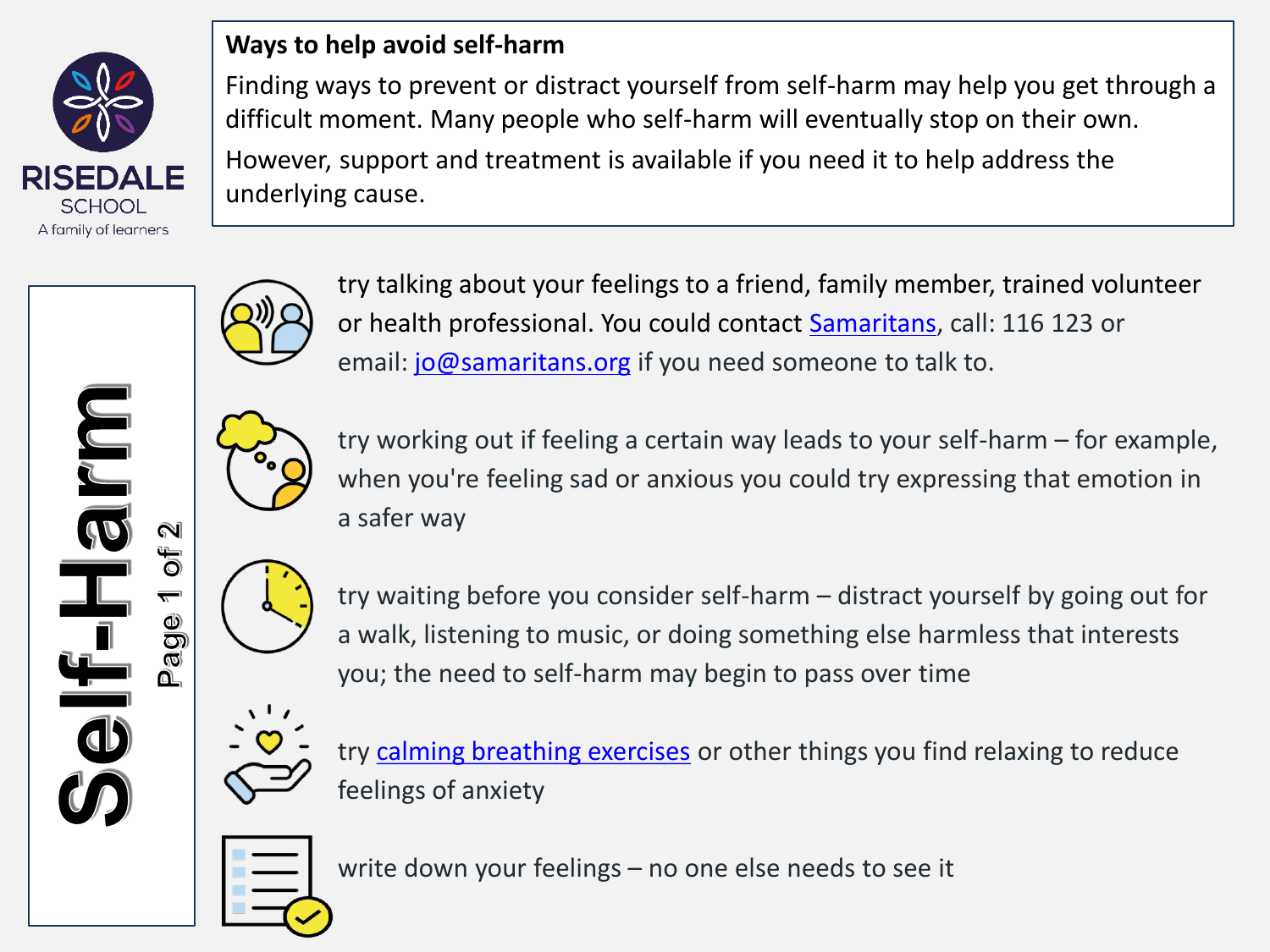

**ULL** 

## **Ways to help avoid self-harm**

Finding ways to prevent or distract yourself from self-harm may help you get through a difficult moment. Many people who self-harm will eventually stop on their own. However, support and treatment is available if you need it to help address the underlying cause.



try talking about your feelings to a friend, family member, trained volunteer or health professional. You could contact [Samaritans](https://www.samaritans.org/how-we-can-help/contact-samaritan/), call: 116 123 or email: [jo@samaritans.org](mailto:jo@samaritans.org) if you need someone to talk to.



try working out if feeling a certain way leads to your self-harm – for example, when you're feeling sad or anxious you could try expressing that emotion in a safer way



❶ āgi try waiting before you consider self-harm – distract yourself by going out for a walk, listening to music, or doing something else harmless that interests you; the need to self-harm may begin to pass over time



try [calming breathing exercises](https://www.nhs.uk/mental-health/self-help/guides-tools-and-activities/breathing-exercises-for-stress/) or other things you find relaxing to reduce feelings of anxiety



write down your feelings – no one else needs to see it